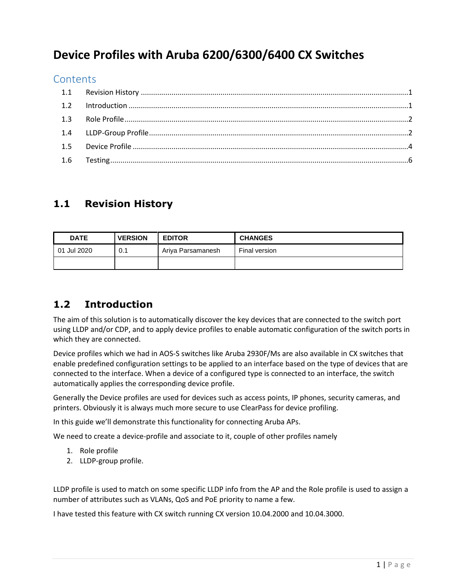# **Device Profiles with Aruba 6200/6300/6400 CX Switches**

#### **Contents**

### <span id="page-0-0"></span>**1.1 Revision History**

| <b>DATE</b> | <b>VERSION</b> | <b>EDITOR</b>     | <b>CHANGES</b> |
|-------------|----------------|-------------------|----------------|
| 01 Jul 2020 | 0.1            | Ariya Parsamanesh | Final version  |
|             |                |                   |                |

## <span id="page-0-1"></span>**1.2 Introduction**

The aim of this solution is to automatically discover the key devices that are connected to the switch port using LLDP and/or CDP, and to apply device profiles to enable automatic configuration of the switch ports in which they are connected.

Device profiles which we had in AOS-S switches like Aruba 2930F/Ms are also available in CX switches that enable predefined configuration settings to be applied to an interface based on the type of devices that are connected to the interface. When a device of a configured type is connected to an interface, the switch automatically applies the corresponding device profile.

Generally the Device profiles are used for devices such as access points, IP phones, security cameras, and printers. Obviously it is always much more secure to use ClearPass for device profiling.

In this guide we'll demonstrate this functionality for connecting Aruba APs.

We need to create a device-profile and associate to it, couple of other profiles namely

- 1. Role profile
- 2. LLDP-group profile.

LLDP profile is used to match on some specific LLDP info from the AP and the Role profile is used to assign a number of attributes such as VLANs, QoS and PoE priority to name a few.

I have tested this feature with CX switch running CX version 10.04.2000 and 10.04.3000.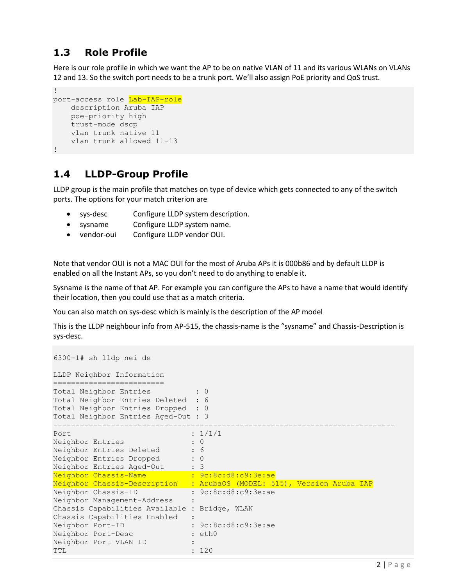# <span id="page-1-0"></span>**1.3 Role Profile**

Here is our role profile in which we want the AP to be on native VLAN of 11 and its various WLANs on VLANs 12 and 13. So the switch port needs to be a trunk port. We'll also assign PoE priority and QoS trust.

```
!
port-access role Lab-IAP-role
    description Aruba IAP
    poe-priority high
    trust-mode dscp
    vlan trunk native 11
    vlan trunk allowed 11-13
!
```
### <span id="page-1-1"></span>**1.4 LLDP-Group Profile**

LLDP group is the main profile that matches on type of device which gets connected to any of the switch ports. The options for your match criterion are

- sys-desc Configure LLDP system description.
- sysname Configure LLDP system name.
- vendor-oui Configure LLDP vendor OUI.

Note that vendor OUI is not a MAC OUI for the most of Aruba APs it is 000b86 and by default LLDP is enabled on all the Instant APs, so you don't need to do anything to enable it.

Sysname is the name of that AP. For example you can configure the APs to have a name that would identify their location, then you could use that as a match criteria.

You can also match on sys-desc which is mainly is the description of the AP model

This is the LLDP neighbour info from AP-515, the chassis-name is the "sysname" and Chassis-Description is sys-desc.

```
6300-1# sh lldp nei de
LLDP Neighbor Information
=========================
Total Neighbor Entries : 0
Total Neighbor Entries Deleted : 6
Total Neighbor Entries Dropped : 0
Total Neighbor Entries Aged-Out : 3
-----------------------------------------------------------------------------
Port : 1/1/1Neighbor Entries : 0
Neighbor Entries Deleted : 6
Neighbor Entries Dropped : 0
Neighbor Entries Aged-Out : 3
Neighbor Chassis-Name : 9c:8c:d8:c9:3e:ae
Neighbor Chassis-Description : ArubaOS (MODEL: 515), Version Aruba IAP
Neighbor Chassis-ID : 9c:8c:d8:c9:3e:ae
Neighbor Management-Address :
Chassis Capabilities Available : Bridge, WLAN
Chassis Capabilities Enabled :
Neighbor Port-ID : 9c:8c:d8:c9:3e:ae
Neighbor Port-Desc : eth0<br>
: eth0
Neighbor Port VLAN ID :
TTL : 120
```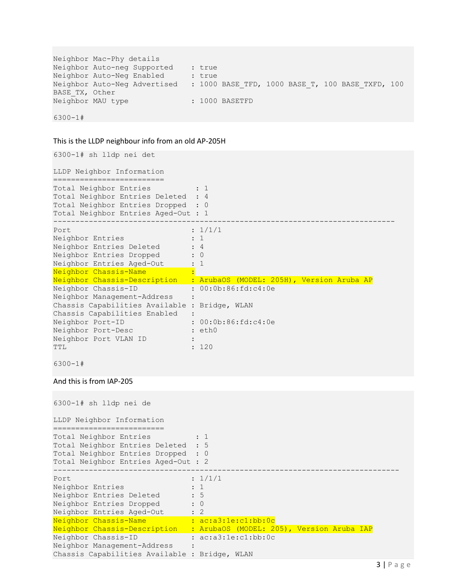```
Neighbor Mac-Phy details
Neighbor Auto-neg Supported : true
Neighbor Auto-Neg Enabled : true
Neighbor Auto-Neg Advertised : 1000 BASE TFD, 1000 BASE T, 100 BASE TXFD, 100
BASE TX, Other
Neighbor MAU type : 1000 BASETFD
6300-1#
```
#### This is the LLDP neighbour info from an old AP-205H

```
6300-1# sh lldp nei det
LLDP Neighbor Information
=========================
Total Neighbor Entries : 1
Total Neighbor Entries Deleted : 4
Total Neighbor Entries Dropped : 0
Total Neighbor Entries Aged-Out : 1
-----------------------------------------------------------------------------
Port : 1/1/1
Neighbor Entries : 1
Neighbor Entries Deleted : 4
Neighbor Entries Dropped : 0
Neighbor Entries Aged-Out : 1
Neighbor Chassis-Name : . . . .
Neighbor Chassis-Description : ArubaOS (MODEL: 205H), Version Aruba AP
Neighbor Chassis-ID : 00:0b:86:fd:c4:0e
Neighbor Management-Address :
Chassis Capabilities Available : Bridge, WLAN
Chassis Capabilities Enabled :
Neighbor Port-ID : 00:0b:86:fd:c4:0e<br>Neighbor Port-Desc : eth0
Neighbor Port-Desc
Neighbor Port VLAN ID :
TTL : 120
```

```
6300-1#
```
And this is from IAP-205

```
6300-1# sh lldp nei de
LLDP Neighbor Information
=========================
Total Neighbor Entries : 1
Total Neighbor Entries Deleted : 5
Total Neighbor Entries Dropped : 0
Total Neighbor Entries Aged-Out : 2
------------------------------------------------------------------------------
Port : 1/1/1Neighbor Entries : 1
Neighbor Entries Deleted : 5
Neighbor Entries Deleted : 5<br>Neighbor Entries Dropped : 0
Neighbor Entries Aged-Out : 2
Neighbor Chassis-Name : ac:a3:1e:c1:bb:0c
Neighbor Chassis-Description : ArubaOS (MODEL: 205), Version Aruba IAP
Neighbor Chassis-ID : ac:a3:1e:c1:bb:0c
Neighbor Management-Address :
Chassis Capabilities Available : Bridge, WLAN
```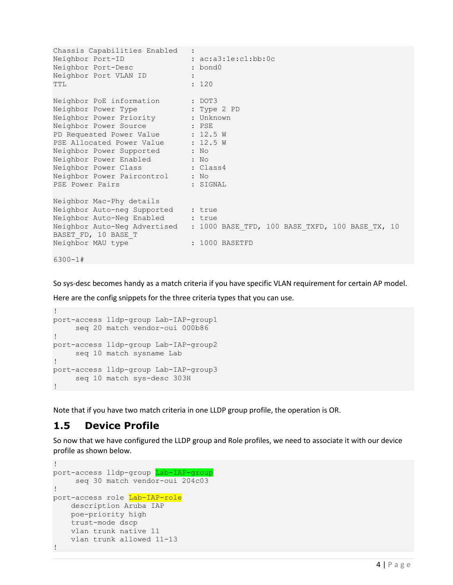```
Chassis Capabilities Enabled :
Neighbor Port-ID : ac:a3:1e:c1:bb:0c
Neighbor Port-Desc : bond0
Neighbor Port VLAN ID :
TTL : 120
Neighbor PoE information : DOT3
Neighbor Power Type : Type 2 PD
Neighbor Power Priority . Unknown
Neighbor Power Source : PSE
PD Requested Power Value : 12.5 W
PSE Allocated Power Value : 12.5 W
Neighbor Power Supported : No
Neighbor Power Enabled : No
Neighbor Power Class : Class4
Neighbor Power Paircontrol : No
PSE Power Pairs : SIGNAL
Neighbor Mac-Phy details
Neighbor Auto-neg Supported : true
Neighbor Auto-Neg Enabled : true
Neighbor Auto-Neg Advertised : 1000 BASE_TFD, 100 BASE_TXFD, 100 BASE_TX, 10 
BASET FD, 10 BASE_T
Neighbor MAU type : 1000 BASETFD
6300-1#
```
So sys-desc becomes handy as a match criteria if you have specific VLAN requirement for certain AP model.

Here are the config snippets for the three criteria types that you can use.

```
!
port-access lldp-group Lab-IAP-group1
    seq 20 match vendor-oui 000b86 
!
port-access lldp-group Lab-IAP-group2
    seq 10 match sysname Lab
!
port-access lldp-group Lab-IAP-group3
 seq 10 match sys-desc 303H
!
```
Note that if you have two match criteria in one LLDP group profile, the operation is OR.

#### <span id="page-3-0"></span>**1.5 Device Profile**

So now that we have configured the LLDP group and Role profiles, we need to associate it with our device profile as shown below.

```
!
port-access lldp-group Lab-IAP-group
    seq 30 match vendor-oui 204c03 
!
port-access role Lab-IAP-role
   description Aruba IAP
    poe-priority high
    trust-mode dscp
    vlan trunk native 11
    vlan trunk allowed 11-13
!
```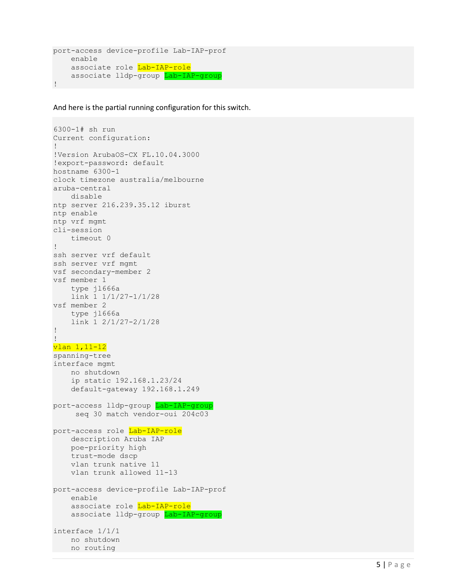```
port-access device-profile Lab-IAP-prof
     enable
    associate role Lab-IAP-role
   associate lldp-group Lab-IAP-group
!
```
And here is the partial running configuration for this switch.

```
6300-1# sh run
Current configuration:
!
!Version ArubaOS-CX FL.10.04.3000
!export-password: default
hostname 6300-1
clock timezone australia/melbourne
aruba-central
    disable
ntp server 216.239.35.12 iburst
ntp enable
ntp vrf mgmt
cli-session
     timeout 0
!
ssh server vrf default
ssh server vrf mgmt
vsf secondary-member 2
vsf member 1
     type jl666a
     link 1 1/1/27-1/1/28
vsf member 2
    type jl666a
     link 1 2/1/27-2/1/28
!
!
vlan 1,11-12
spanning-tree
interface mgmt
     no shutdown
     ip static 192.168.1.23/24
     default-gateway 192.168.1.249
port-access lldp-group Lab-IAP-group
      seq 30 match vendor-oui 204c03 
port-access role Lab-IAP-role
     description Aruba IAP
     poe-priority high
     trust-mode dscp
     vlan trunk native 11
     vlan trunk allowed 11-13
port-access device-profile Lab-IAP-prof
     enable
    associate role Lab-IAP-role
    associate lldp-group Lab-IAP-group
interface 1/1/1
    no shutdown
  no routing
```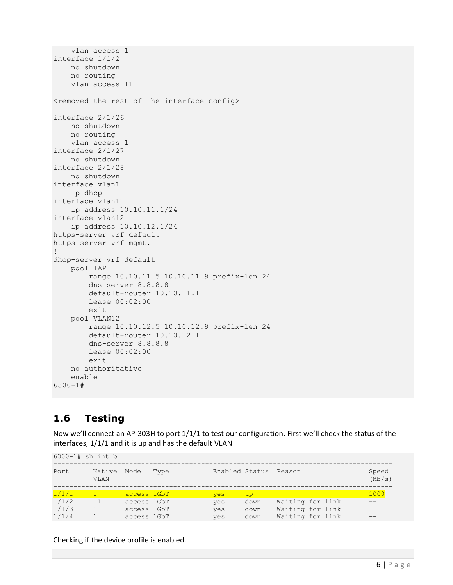```
 vlan access 1
interface 1/1/2
    no shutdown
    no routing
     vlan access 11
<removed the rest of the interface config>
interface 2/1/26
    no shutdown
    no routing
    vlan access 1
interface 2/1/27
    no shutdown
interface 2/1/28
    no shutdown
interface vlan1
    ip dhcp
interface vlan11
    ip address 10.10.11.1/24
interface vlan12
    ip address 10.10.12.1/24
https-server vrf default
https-server vrf mgmt.
!
dhcp-server vrf default
     pool IAP
         range 10.10.11.5 10.10.11.9 prefix-len 24
         dns-server 8.8.8.8
         default-router 10.10.11.1
         lease 00:02:00
         exit
     pool VLAN12
         range 10.10.12.5 10.10.12.9 prefix-len 24
         default-router 10.10.12.1
         dns-server 8.8.8.8
         lease 00:02:00
         exit
    no authoritative
     enable
6300-1#
```
## <span id="page-5-0"></span>**1.6 Testing**

Now we'll connect an AP-303H to port 1/1/1 to test our configuration. First we'll check the status of the interfaces, 1/1/1 and it is up and has the default VLAN

| $6300 - 1#$ sh int b |                |             |      |                |      |                  |  |                 |
|----------------------|----------------|-------------|------|----------------|------|------------------|--|-----------------|
| Port                 | Native<br>VLAN | Mode        | Type | Enabled Status |      | Reason           |  | Speed<br>(Mb/s) |
| 1/1/1                |                | access 1GbT |      | yes            | up   |                  |  | 1000            |
| 1/1/2                | 11             | access 1GbT |      | yes            | down | Waiting for link |  |                 |
| 1/1/3                | $\mathbf{1}$   | access 1GbT |      | yes            | down | Waiting for link |  |                 |
| 1/1/4                |                | access 1GbT |      | yes            | down | Waiting for link |  |                 |

Checking if the device profile is enabled.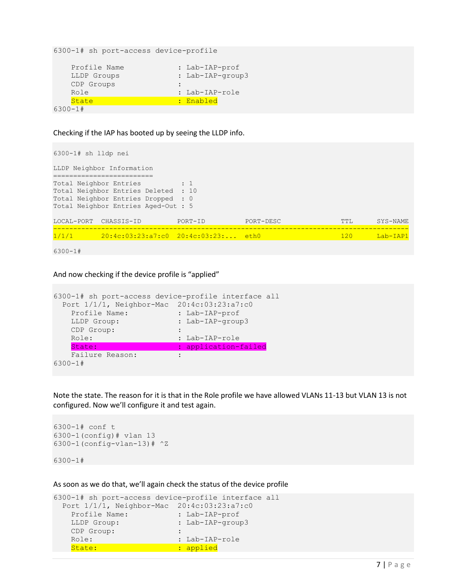6300-1# sh port-access device-profile Profile Name : Lab-IAP-prof

 LLDP Groups : Lab-IAP-group3 Profile Names<br>LLDP Groups :<br>CDP Groups : : Role : Lab-IAP-role State : Enabled 6300-1#

Checking if the IAP has booted up by seeing the LLDP info.

```
6300-1# sh lldp nei
LLDP Neighbor Information
=========================
Total Neighbor Entries : 1
Total Neighbor Entries Deleted : 10
Total Neighbor Entries Dropped : 0
Total Neighbor Entries Aged-Out : 5
LOCAL-PORT CHASSIS-ID PORT-ID PORT-DESC TTL SYS-NAME
-----------------------------------------------------------------------------------------
1/1/1 20:4c:03:23:a7:c0 20:4c:03:23:... eth0 120 Lab-IAP1
```
6300-1#

And now checking if the device profile is "applied"

```
6300-1# sh port-access device-profile interface all
  Port 1/1/1, Neighbor-Mac 20:4c:03:23:a7:c0
 Profile Name: : Lab-IAP-prof
LLDP Group: : Lab-IAP-group3
 CDP Group: :
  Role: : Lab-IAP-role
   State: : : : : : : application-failed
   Failure Reason: :
6300-1#
```
Note the state. The reason for it is that in the Role profile we have allowed VLANs 11-13 but VLAN 13 is not configured. Now we'll configure it and test again.

```
6300-1# conf t
6300-1(config)# vlan 13
6300-1(config-vlan-13)# ^Z
```
6300-1#

As soon as we do that, we'll again check the status of the device profile

```
6300-1# sh port-access device-profile interface all
  Port 1/1/1, Neighbor-Mac 20:4c:03:23:a7:c0
Profile Name: : Lab-IAP-prof
LLDP Group: : Lab-IAP-group3
 CDP Group: :
  Role: : Lab-IAP-role
  State: : : : : : : applied
```